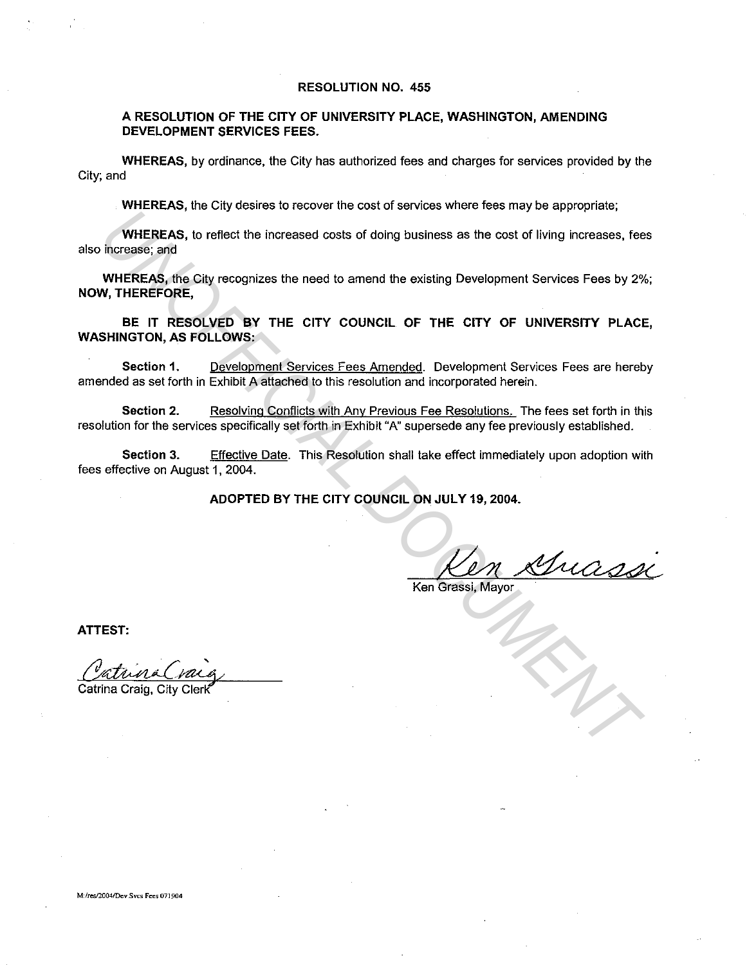#### **RESOLUTION NO. 455**

#### **A RESOLUTION OF THE CITY OF UNIVERSITY PLACE, WASHINGTON, AMENDING DEVELOPMENT SERVICES FEES.**

**WHEREAS,** by ordinance, the City has authorized fees and charges for services provided by the City; and

**WHEREAS,** the City desires to recover the cost of services where fees may be appropriate;

**WHEREAS,** to reflect the increased costs of doing business as the cost of living increases, fees also increase; and

**WHEREAS,** the City recognizes the need to amend the existing Development Services Fees by 2%; **NOW, THEREFORE,** 

**BE IT RESOLVED BY THE CITY COUNCIL OF THE CITY OF UNIVERSITY PLACE, WASHINGTON, AS FOLLOWS:**  WHEREAS, the clip recognizes the east of doing business as the cost of living increases, feed<br>to make the clip recognizes the need to amend the existing Development Services Fees by 2%<br>WHEREAS, the Gity recognizes the need

**Section 1.** Development Services Fees Amended. Development Services Fees are hereby amended as set forth in Exhibit A attached to this resolution and incorporated herein.

**Section** 2. Resolving Conflicts with Any Previous Fee Resolutions. The fees set forth in this resolution for the services specifically set forth in Exhibit "A" supersede any fee previously established.

**Section** 3. Effective Date. This Resolution shall take effect immediately upon adoption with fees effective on August 1, 2004.

**ADOPTED BY THE CITY COUNCIL ON JULY 19, 2004.** 

Muassi

Ken Grassi, Mayor

**ATTEST:** 

Catrina Craig, City Cieri<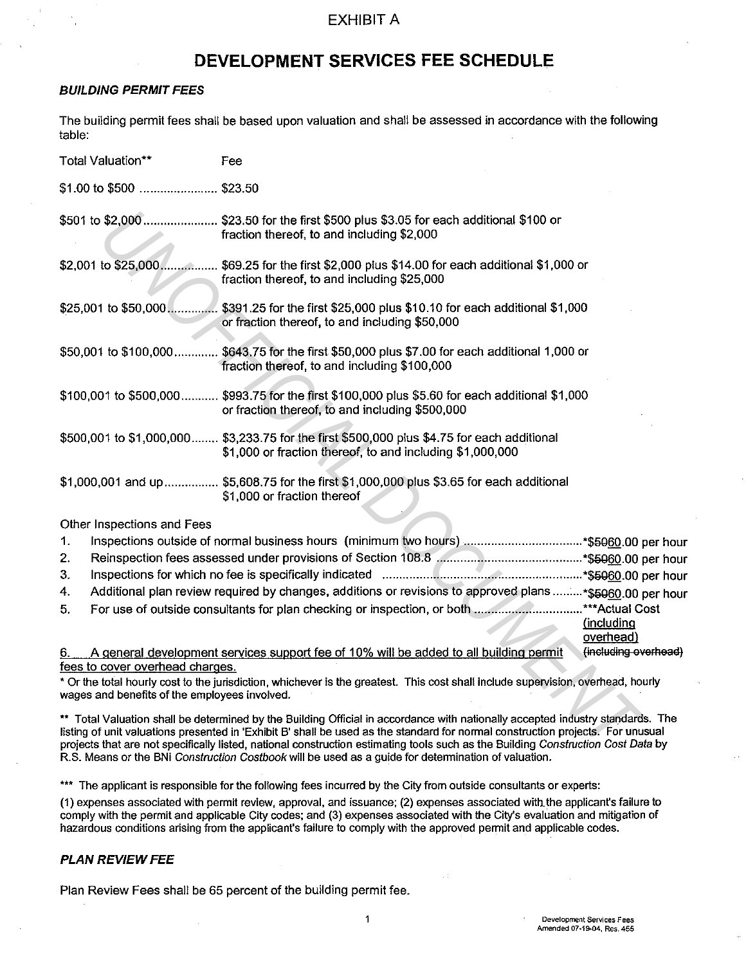## **DEVELOPMENT SERVICES FEE SCHEDULE**

#### **BUILDING PERMIT FEES**

The building permit fees shall be based upon valuation and shall be assessed in accordance with the following table:

| Total Valuation**                             | Fee                                                                                                                                                                                                                                                                                                                                                                                                   |                         |
|-----------------------------------------------|-------------------------------------------------------------------------------------------------------------------------------------------------------------------------------------------------------------------------------------------------------------------------------------------------------------------------------------------------------------------------------------------------------|-------------------------|
| \$1.00 to \$500  \$23.50                      |                                                                                                                                                                                                                                                                                                                                                                                                       |                         |
|                                               | \$501 to \$2,000 \$23.50 for the first \$500 plus \$3.05 for each additional \$100 or<br>fraction thereof, to and including \$2,000                                                                                                                                                                                                                                                                   |                         |
|                                               | \$2,001 to \$25,000 \$69.25 for the first \$2,000 plus \$14.00 for each additional \$1,000 or<br>fraction thereof, to and including \$25,000                                                                                                                                                                                                                                                          |                         |
|                                               | \$25,001 to \$50,000 \$391.25 for the first \$25,000 plus \$10.10 for each additional \$1,000<br>or fraction thereof, to and including \$50,000                                                                                                                                                                                                                                                       |                         |
|                                               | \$50,001 to \$100,000 \$643.75 for the first \$50,000 plus \$7.00 for each additional 1,000 or<br>fraction thereof, to and including \$100,000                                                                                                                                                                                                                                                        |                         |
|                                               | \$100,001 to \$500,000 \$993.75 for the first \$100,000 plus \$5.60 for each additional \$1,000<br>or fraction thereof, to and including \$500,000                                                                                                                                                                                                                                                    |                         |
|                                               | \$500,001 to \$1,000,000 \$3,233.75 for the first \$500,000 plus \$4.75 for each additional<br>\$1,000 or fraction thereof, to and including \$1,000,000                                                                                                                                                                                                                                              |                         |
|                                               | \$1,000,001 and up \$5,608.75 for the first \$1,000,000 plus \$3.65 for each additional<br>\$1,000 or fraction thereof                                                                                                                                                                                                                                                                                |                         |
| Other Inspections and Fees                    |                                                                                                                                                                                                                                                                                                                                                                                                       |                         |
| 1.                                            |                                                                                                                                                                                                                                                                                                                                                                                                       |                         |
| 2.                                            |                                                                                                                                                                                                                                                                                                                                                                                                       |                         |
| 3.                                            |                                                                                                                                                                                                                                                                                                                                                                                                       |                         |
| 4.                                            | Additional plan review required by changes, additions or revisions to approved plans * \$5060.00 per ho                                                                                                                                                                                                                                                                                               |                         |
| 5.                                            | For use of outside consultants for plan checking or inspection, or both *** Actual Cost                                                                                                                                                                                                                                                                                                               | (including<br>overhead) |
| 6.                                            | A general development services support fee of 10% will be added to all building permit                                                                                                                                                                                                                                                                                                                | (including overhea      |
| fees to cover overhead charges.               |                                                                                                                                                                                                                                                                                                                                                                                                       |                         |
| wages and benefits of the employees involved. | * Or the total hourly cost to the jurisdiction, whichever is the greatest. This cost shall include supervision, overhead, hourly                                                                                                                                                                                                                                                                      |                         |
|                                               | ** Total Valuation shall be determined by the Building Official in accordance with nationally accepted industry standards. The<br>listing of unit valuations presented in 'Exhibit B' shall be used as the standard for normal construction projects. For unusual<br>projects that are not specifically listed, national construction estimating tools such as the Building Construction Cost Data by |                         |

#### Other Inspections and Fees

| $\mathbf{1}$ . | Inspections outside of normal business hours (minimum two hours) *\$5960.00 per hour                      |                      |
|----------------|-----------------------------------------------------------------------------------------------------------|----------------------|
| 2.             |                                                                                                           |                      |
| 3.             |                                                                                                           |                      |
| 4.             | Additional plan review required by changes, additions or revisions to approved plans * \$5060.00 per hour |                      |
| 5.             | For use of outside consultants for plan checking or inspection, or both ***Actual Cost                    |                      |
|                |                                                                                                           | (including           |
|                |                                                                                                           | overhead)            |
| 6.             | A general development services support fee of 10% will be added to all building permit                    | (including overhead) |

\*\* Total Valuation shall be determined by the Building Official in accordance with nationally accepted industry standards. The listing of unit valuations presented in 'Exhibit B' shall be used as the standard for normal construction projects. For unusual projects that are not specifically listed, national construction estimating tools such as the Building Construction Cost Data by R.S. Means or the BNi Construction Costbook will be used as a guide for determination of valuation.

\*\*\* The applicant is responsible for the following fees incurred by the City from outside consultants or experts:

(1) expenses associated with permit review, approval, and issuance; (2) expenses associated with.the applicant's failure to comply with the permit and applicable City codes; and (3) expenses associated with the City's evaluation and mitigation of hazardous conditions arising from the applicant's failure to comply with the approved permit and applicable codes.

#### **PLAN REVIEW FEE**

Plan Review Fees shall be 65 percent of the building permit fee.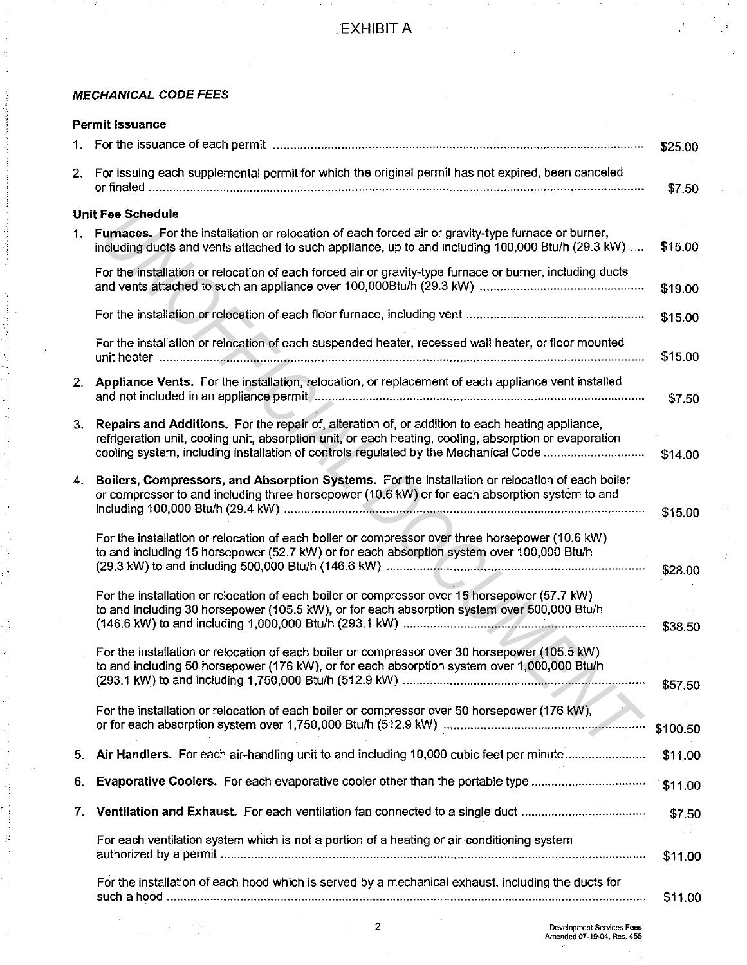$\mathcal{L}_{\mathrm{c}}$ 

## **MECHANICAL CODE FEES**

| <b>Permit Issuance</b> |                                                                                                                                                                                                                                                                                                  |          |  |
|------------------------|--------------------------------------------------------------------------------------------------------------------------------------------------------------------------------------------------------------------------------------------------------------------------------------------------|----------|--|
| 1.                     |                                                                                                                                                                                                                                                                                                  | \$25.00  |  |
| 2.                     | For issuing each supplemental permit for which the original permit has not expired, been canceled                                                                                                                                                                                                | \$7.50   |  |
|                        | <b>Unit Fee Schedule</b>                                                                                                                                                                                                                                                                         |          |  |
| 1.                     | Furnaces. For the installation or relocation of each forced air or gravity-type furnace or burner,<br>including ducts and vents attached to such appliance, up to and including 100,000 Btu/h (29.3 kW)                                                                                          | \$15.00  |  |
|                        | For the installation or relocation of each forced air or gravity-type furnace or burner, including ducts                                                                                                                                                                                         | \$19.00  |  |
|                        |                                                                                                                                                                                                                                                                                                  | \$15.00  |  |
|                        | For the installation or relocation of each suspended heater, recessed wall heater, or floor mounted                                                                                                                                                                                              | \$15.00  |  |
| 2.                     | Appliance Vents. For the installation, relocation, or replacement of each appliance vent installed                                                                                                                                                                                               | \$7.50   |  |
| 3.                     | Repairs and Additions. For the repair of, alteration of, or addition to each heating appliance,<br>refrigeration unit, cooling unit, absorption unit, or each heating, cooling, absorption or evaporation<br>cooling system, including installation of controls regulated by the Mechanical Code | \$14.00  |  |
|                        | 4. Boilers, Compressors, and Absorption Systems. For the installation or relocation of each boiler<br>or compressor to and including three horsepower (10.6 kW) or for each absorption system to and                                                                                             | \$15.00  |  |
|                        | For the installation or relocation of each boiler or compressor over three horsepower (10.6 kW)<br>to and including 15 horsepower (52.7 kW) or for each absorption system over 100,000 Btu/h                                                                                                     | \$28.00  |  |
|                        | For the installation or relocation of each boiler or compressor over 15 horsepower (57.7 kW)<br>to and including 30 horsepower (105.5 kW), or for each absorption system over 500,000 Btu/h                                                                                                      | \$38.50  |  |
|                        | For the installation or relocation of each boiler or compressor over 30 horsepower (105.5 kW)<br>to and including 50 horsepower (176 kW), or for each absorption system over 1,000,000 Btu/h                                                                                                     |          |  |
|                        |                                                                                                                                                                                                                                                                                                  | \$57.50  |  |
|                        | For the installation or relocation of each boiler or compressor over 50 horsepower (176 kW),                                                                                                                                                                                                     | \$100.50 |  |
| 5.                     | Air Handlers. For each air-handling unit to and including 10,000 cubic feet per minute                                                                                                                                                                                                           | \$11.00  |  |
| 6.                     | Evaporative Coolers. For each evaporative cooler other than the portable type                                                                                                                                                                                                                    | \$11.00  |  |
| 7.                     | Ventilation and Exhaust. For each ventilation fan connected to a single duct                                                                                                                                                                                                                     | \$7.50   |  |
|                        | For each ventilation system which is not a portion of a heating or air-conditioning system                                                                                                                                                                                                       | \$11.00  |  |
|                        | For the installation of each hood which is served by a mechanical exhaust, including the ducts for                                                                                                                                                                                               | \$11.00  |  |

 $\bar{z}$ 

ina.<br>Nati

 $\sim 10^{-1}$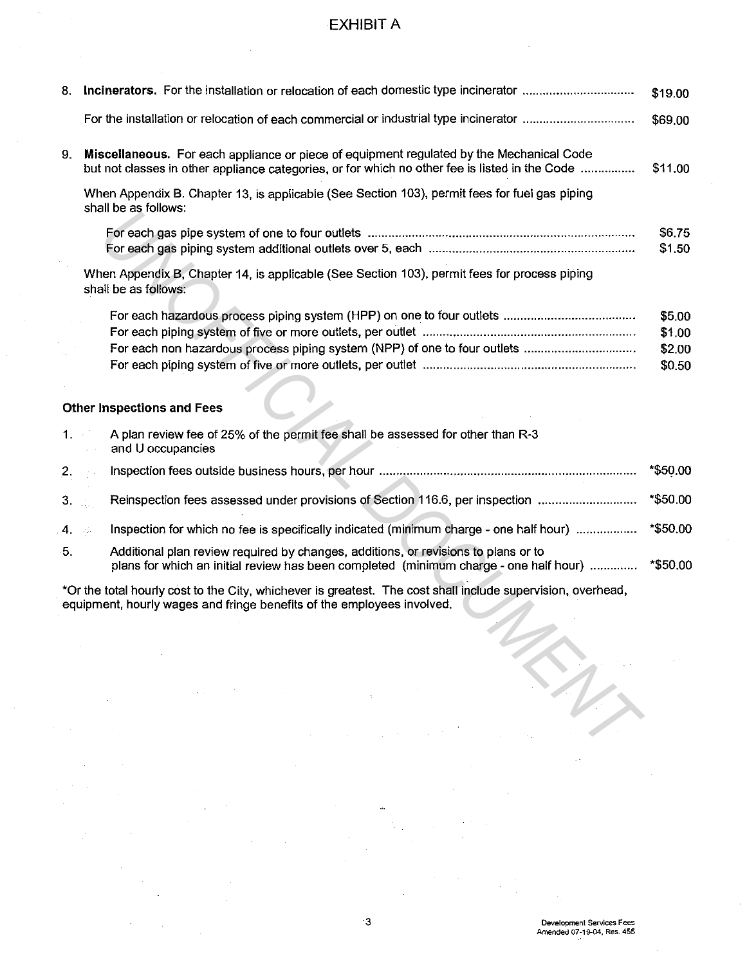| 8.   |                                                                                                                                                                                                                                                                                                                                                                                                                                                                                          | \$19.00          |
|------|------------------------------------------------------------------------------------------------------------------------------------------------------------------------------------------------------------------------------------------------------------------------------------------------------------------------------------------------------------------------------------------------------------------------------------------------------------------------------------------|------------------|
|      |                                                                                                                                                                                                                                                                                                                                                                                                                                                                                          | \$69.00          |
| 9.   | Miscellaneous. For each appliance or piece of equipment regulated by the Mechanical Code<br>but not classes in other appliance categories, or for which no other fee is listed in the Code                                                                                                                                                                                                                                                                                               | \$11.00          |
|      | When Appendix B. Chapter 13, is applicable (See Section 103), permit fees for fuel gas piping<br>shall be as follows:                                                                                                                                                                                                                                                                                                                                                                    |                  |
|      |                                                                                                                                                                                                                                                                                                                                                                                                                                                                                          | \$6.75<br>\$1.50 |
|      | When Appendix B, Chapter 14, is applicable (See Section 103), permit fees for process piping<br>shall be as follows:                                                                                                                                                                                                                                                                                                                                                                     |                  |
|      |                                                                                                                                                                                                                                                                                                                                                                                                                                                                                          | \$5.00           |
|      |                                                                                                                                                                                                                                                                                                                                                                                                                                                                                          | \$1.00           |
|      | For each non hazardous process piping system (NPP) of one to four outlets                                                                                                                                                                                                                                                                                                                                                                                                                | \$2.00           |
|      |                                                                                                                                                                                                                                                                                                                                                                                                                                                                                          | \$0.50           |
|      |                                                                                                                                                                                                                                                                                                                                                                                                                                                                                          |                  |
|      | <b>Other Inspections and Fees</b>                                                                                                                                                                                                                                                                                                                                                                                                                                                        |                  |
| 1.75 | A plan review fee of 25% of the permit fee shall be assessed for other than R-3<br>and U occupancies                                                                                                                                                                                                                                                                                                                                                                                     |                  |
| 2.   |                                                                                                                                                                                                                                                                                                                                                                                                                                                                                          | *\$50.00         |
| 3.   | Reinspection fees assessed under provisions of Section 116.6, per inspection                                                                                                                                                                                                                                                                                                                                                                                                             | *\$50.00         |
| 4.   | Inspection for which no fee is specifically indicated (minimum charge - one half hour)                                                                                                                                                                                                                                                                                                                                                                                                   | *\$50.00         |
| 5.   | Additional plan review required by changes, additions, or revisions to plans or to<br>plans for which an initial review has been completed (minimum charge - one half hour)                                                                                                                                                                                                                                                                                                              | *\$50.00         |
|      | *Or the total hourly cost to the City, whichever is greatest. The cost shall include supervision, overhead,<br>equipment, hourly wages and fringe benefits of the employees involved.                                                                                                                                                                                                                                                                                                    |                  |
|      |                                                                                                                                                                                                                                                                                                                                                                                                                                                                                          |                  |
|      | $\label{eq:2.1} \frac{1}{\sqrt{2\pi}}\frac{d\mathbf{r}}{d\mathbf{r}}\left(\frac{\partial\mathbf{r}}{d\mathbf{r}}\right)^2\left(\frac{\partial\mathbf{r}}{d\mathbf{r}}\right)^2\left(\frac{\partial\mathbf{r}}{d\mathbf{r}}\right)^2\left(\frac{\partial\mathbf{r}}{d\mathbf{r}}\right)^2\left(\frac{\partial\mathbf{r}}{d\mathbf{r}}\right)^2\left(\frac{\partial\mathbf{r}}{d\mathbf{r}}\right)^2\left(\frac{\partial\mathbf{r}}{d\mathbf{r}}\right)^2\left(\frac{\partial\mathbf{r}}{$ |                  |
|      |                                                                                                                                                                                                                                                                                                                                                                                                                                                                                          |                  |
|      | $\mathcal{L}_{\text{max}}$ and $\mathcal{L}_{\text{max}}$ are the set of the set of the set of the set of the set of the set of the set of the set of the set of the set of the set of the set of the set of the set of the set of the set of the set o                                                                                                                                                                                                                                  |                  |
|      |                                                                                                                                                                                                                                                                                                                                                                                                                                                                                          |                  |
|      | $\mathcal{L}^{\mathcal{L}}(\mathcal{L}^{\mathcal{L}})$ and the set of the set of the set of the set of the set of the set of the set of the set of the set of the set of the set of the set of the set of the set of the set of the set of the set of                                                                                                                                                                                                                                    |                  |
|      |                                                                                                                                                                                                                                                                                                                                                                                                                                                                                          |                  |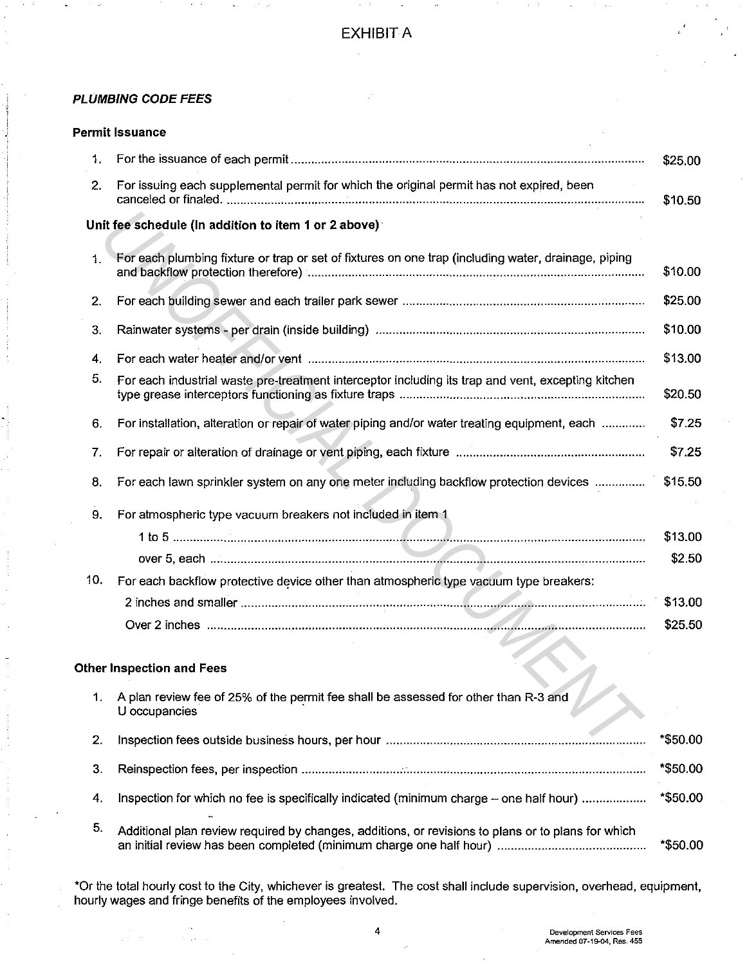### **PLUMBING CODE FEES**

#### **Permit Issuance**

| $\mathbf{1}$ . |                                                                                                         | \$25.00            |
|----------------|---------------------------------------------------------------------------------------------------------|--------------------|
| 2.             | For issuing each supplemental permit for which the original permit has not expired, been                | \$10.50            |
|                | Unit fee schedule (In addition to item 1 or 2 above)                                                    |                    |
| $\mathbf{1}$ . | For each plumbing fixture or trap or set of fixtures on one trap (including water, drainage, piping     | \$10.00            |
| 2.             |                                                                                                         | \$25.00            |
| 3.             |                                                                                                         | \$10.00            |
| 4.             |                                                                                                         | \$13.00            |
| 5.             | For each industrial waste pre-treatment interceptor including its trap and vent, excepting kitchen      | \$20.50            |
| 6.             | For installation, alteration or repair of water piping and/or water treating equipment, each            | \$7.25             |
| 7.             |                                                                                                         | \$7.25             |
| 8.             | For each lawn sprinkler system on any one meter including backflow protection devices                   | \$15,50            |
| 9.             | For atmospheric type vacuum breakers not included in item 1                                             | \$13.00<br>\$2.50  |
| 10.            | For each backflow protective device other than atmospheric type vacuum type breakers:                   |                    |
|                |                                                                                                         | \$13.00<br>\$25.50 |
|                |                                                                                                         |                    |
|                | Other Inspection and Fees                                                                               |                    |
|                | 1. A plan review fee of 25% of the permit fee shall be assessed for other than R-3 and<br>U occupancies |                    |
| 2.             |                                                                                                         | *\$50.00           |
| 3.             |                                                                                                         | *\$50.00           |
| 4.             | Inspection for which no fee is specifically indicated (minimum charge - one half hour)                  | *\$50.00           |
| 5.             | Additional plan review required by changes, additions, or revisions to plans or to plans for which      | *\$50.00           |

\*Or the total hourly cost to the City, whichever is greatest. The cost shall include supervision, overhead, equipment, hourly wages and fringe benefits of the employees involved.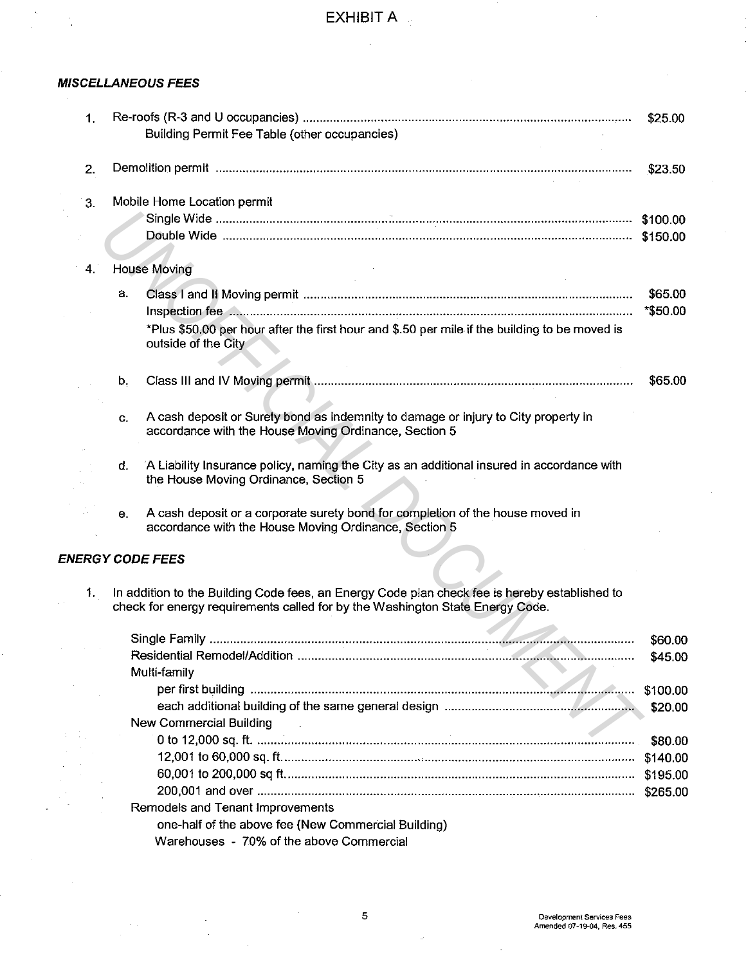## **MISCELLANEOUS FEES**

| 1. |                                                                                                                                                                                | \$25.00  |
|----|--------------------------------------------------------------------------------------------------------------------------------------------------------------------------------|----------|
|    | Building Permit Fee Table (other occupancies)                                                                                                                                  |          |
| 2. |                                                                                                                                                                                | \$23.50  |
| 3. | Mobile Home Location permit                                                                                                                                                    |          |
|    |                                                                                                                                                                                |          |
|    |                                                                                                                                                                                |          |
| 4. | <b>House Moving</b>                                                                                                                                                            |          |
|    | a.                                                                                                                                                                             | \$65.00  |
|    |                                                                                                                                                                                | *\$50.00 |
|    | *Plus \$50.00 per hour after the first hour and \$.50 per mile if the building to be moved is<br>outside of the City                                                           |          |
|    | b.                                                                                                                                                                             | \$65.00  |
|    |                                                                                                                                                                                |          |
|    | A cash deposit or Surety bond as indemnity to damage or injury to City property in<br>C.<br>accordance with the House Moving Ordinance, Section 5                              |          |
|    | A Liability Insurance policy, naming the City as an additional insured in accordance with<br>d.<br>the House Moving Ordinance, Section 5                                       |          |
|    | A cash deposit or a corporate surety bond for completion of the house moved in<br>е.<br>accordance with the House Moving Ordinance, Section 5                                  |          |
|    | <b>ENERGY CODE FEES</b>                                                                                                                                                        |          |
| 1. | In addition to the Building Code fees, an Energy Code plan check fee is hereby established to<br>check for energy requirements called for by the Washington State Energy Code. |          |
|    |                                                                                                                                                                                | \$60.00  |
|    |                                                                                                                                                                                | \$45.00  |
|    | Multi-family                                                                                                                                                                   |          |
|    |                                                                                                                                                                                | \$100.00 |
|    |                                                                                                                                                                                | \$20.00  |
|    | New Commercial Building                                                                                                                                                        |          |
|    |                                                                                                                                                                                | \$80.00  |
|    |                                                                                                                                                                                | \$140.00 |

5 **Development Services Fees Amended 07-19-04, Res. 455** 

Remodels and Tenant Improvements

one-half of the above fee (New Commercial Building)

Warehouses - 70% of the above Commercial

60,001 to 200,000 sq ft ...................................................................................................... . \$195.00 200,001 and over .............................................................................................................. . \$265.00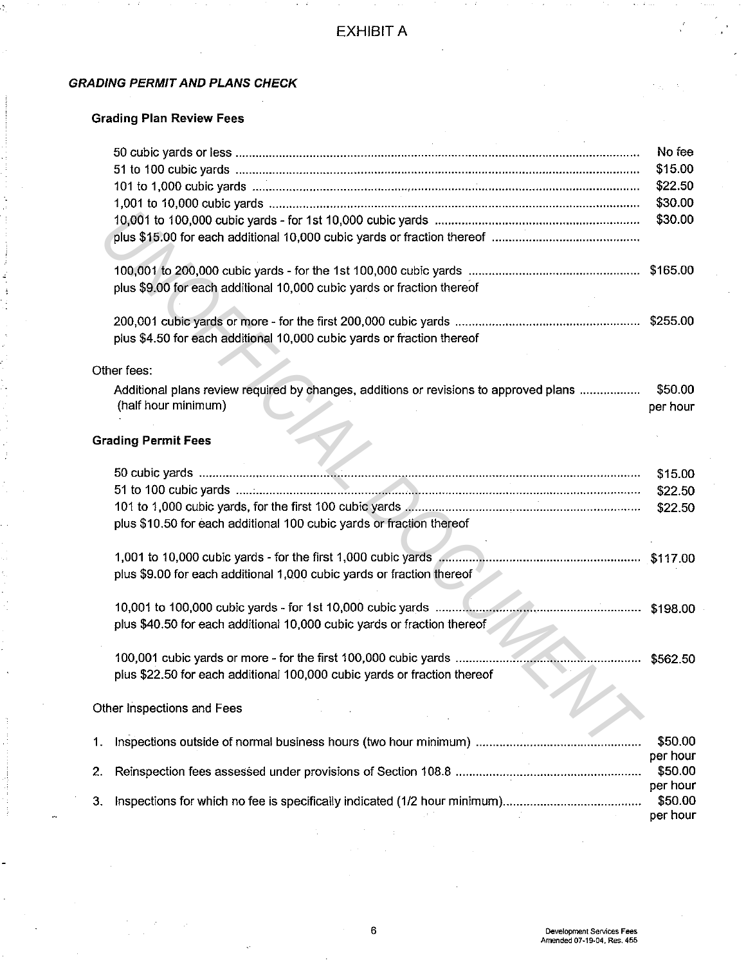## **GRADING PERMIT AND PLANS CHECK**

## **Grading Plan Review Fees**

|    |                                                                                       | No fee   |
|----|---------------------------------------------------------------------------------------|----------|
|    |                                                                                       | \$15.00  |
|    |                                                                                       | \$22.50  |
|    |                                                                                       | \$30.00  |
|    |                                                                                       | \$30.00  |
|    |                                                                                       |          |
|    |                                                                                       |          |
|    | plus \$9.00 for each additional 10,000 cubic yards or fraction thereof                |          |
|    |                                                                                       |          |
|    | plus \$4.50 for each additional 10,000 cubic yards or fraction thereof                |          |
|    |                                                                                       |          |
|    | Other fees:                                                                           |          |
|    | Additional plans review required by changes, additions or revisions to approved plans | \$50.00  |
|    | (half hour minimum)                                                                   | per hour |
|    |                                                                                       |          |
|    | <b>Grading Permit Fees</b>                                                            |          |
|    |                                                                                       | \$15.00  |
|    |                                                                                       | \$22.50  |
|    |                                                                                       | \$22.50  |
|    | plus \$10.50 for each additional 100 cubic yards or fraction thereof                  |          |
|    |                                                                                       |          |
|    |                                                                                       |          |
|    | plus \$9.00 for each additional 1,000 cubic yards or fraction thereof                 |          |
|    |                                                                                       |          |
|    |                                                                                       |          |
|    | plus \$40.50 for each additional 10,000 cubic yards or fraction thereof               |          |
|    |                                                                                       |          |
|    |                                                                                       | \$562.50 |
|    | plus \$22.50 for each additional 100,000 cubic yards or fraction thereof              |          |
|    |                                                                                       |          |
|    | Other Inspections and Fees                                                            |          |
| 1. |                                                                                       | \$50.00  |
|    |                                                                                       | per hour |
| 2. |                                                                                       | \$50.00  |
|    |                                                                                       | per hour |
| 3. |                                                                                       | \$50.00  |
|    |                                                                                       | per hour |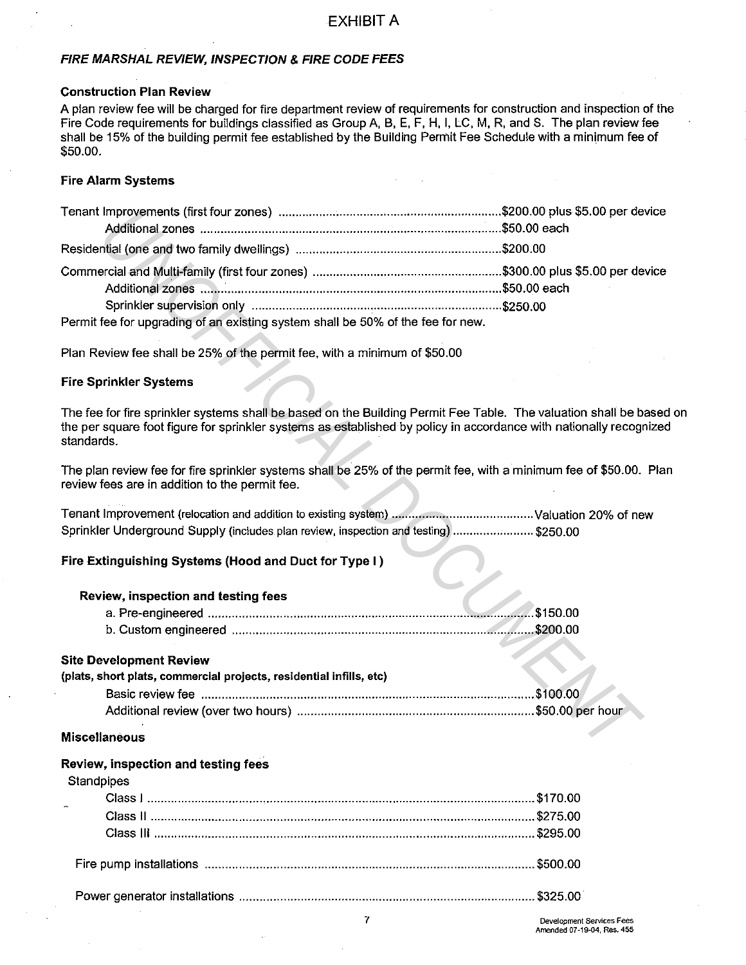#### FIRE MARSHAL REVIEW, INSPECTION & FIRE CODE FEES

#### Construction Plan Review

A plan review fee will be charged for fire department review of requirements for construction and inspection of the Fire Code requirements for buildings classified as Group A, B, E, F, H, I, LC, M, R, and S. The plan review fee shall be 15% of the building permit fee established by the Building Permit Fee Schedule with a minimum fee of \$50.00.

#### Fire Alarm Systems

| Permit fee for upgrading of an existing system shall be 50% of the fee for new.                                                                                                                                                                      |  |
|------------------------------------------------------------------------------------------------------------------------------------------------------------------------------------------------------------------------------------------------------|--|
| Plan Review fee shall be 25% of the permit fee, with a minimum of \$50.00                                                                                                                                                                            |  |
| <b>Fire Sprinkler Systems</b>                                                                                                                                                                                                                        |  |
| The fee for fire sprinkler systems shall be based on the Building Permit Fee Table. The valuation shall be based<br>the per square foot figure for sprinkler systems as established by policy in accordance with nationally recognized<br>standards. |  |
| The plan review fee for fire sprinkler systems shall be 25% of the permit fee, with a minimum fee of \$50.00. Plan<br>review fees are in addition to the permit fee.                                                                                 |  |
| Sprinkler Underground Supply (includes plan review, inspection and testing)  \$250.00                                                                                                                                                                |  |
| Fire Extinguishing Systems (Hood and Duct for Type I)                                                                                                                                                                                                |  |
| Review, inspection and testing fees                                                                                                                                                                                                                  |  |
|                                                                                                                                                                                                                                                      |  |
|                                                                                                                                                                                                                                                      |  |
| <b>Site Development Review</b>                                                                                                                                                                                                                       |  |
| (plats, short plats, commercial projects, residential infills, etc)                                                                                                                                                                                  |  |
|                                                                                                                                                                                                                                                      |  |
|                                                                                                                                                                                                                                                      |  |
| <b>Miscellaneous</b>                                                                                                                                                                                                                                 |  |

#### Fire Sprinkler Systems

#### Fire Extinguishing Systems (Hood and Duct for Type I )

#### Review, inspection and testing fees

#### Site Development Review

| (plats, short plats, commercial projects, residential infills, etc) |  |
|---------------------------------------------------------------------|--|
|                                                                     |  |
|                                                                     |  |

#### Miscellaneous

#### Review, inspection and testing fees

## **Standpipes**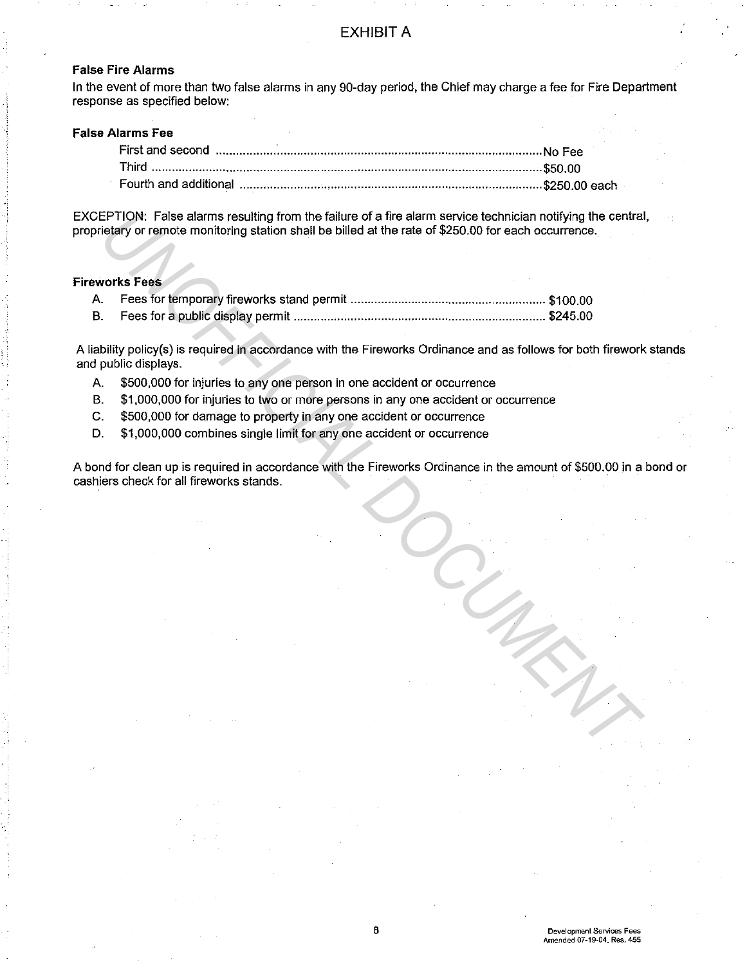#### False Fire Alarms

In the event of more than two false alarms in any 90-day period, the Chief may charge a fee for Fire Department response as specified below:

#### False Alarms Fee

EXCEPTION: False alarms resulting from the failure of a fire alarm service technician notifying the central, proprietary or remote monitoring station shall be billed at the rate of \$250.00 for each occurrence.

#### Fireworks Fees

A liability policy(s) is required in accordance with the Fireworks Ordinance and as follows for both firework stands and public displays. **EPTION:** False alarms resulting from the fallure of a fire alarm service technician notifying the central<br>
Velay or remote montotring station shall be billed at the rate of \$250.00 for each occurrence.<br>
These for depublic

- A. \$500,000 for injuries to any one person in one accident or occurrence
- B. \$1,000,000 for injuries to two or more persons in any one accident or occurrence
- C. \$500,000 for damage to property in any one accident or occurrence
- D. \$1,000,000 combines single limit for any one accident or occurrence

A bond for clean up is required in accordance with the Fireworks Ordinance in the amount of \$500.00 in a bond or cashiers check for all fireworks stands.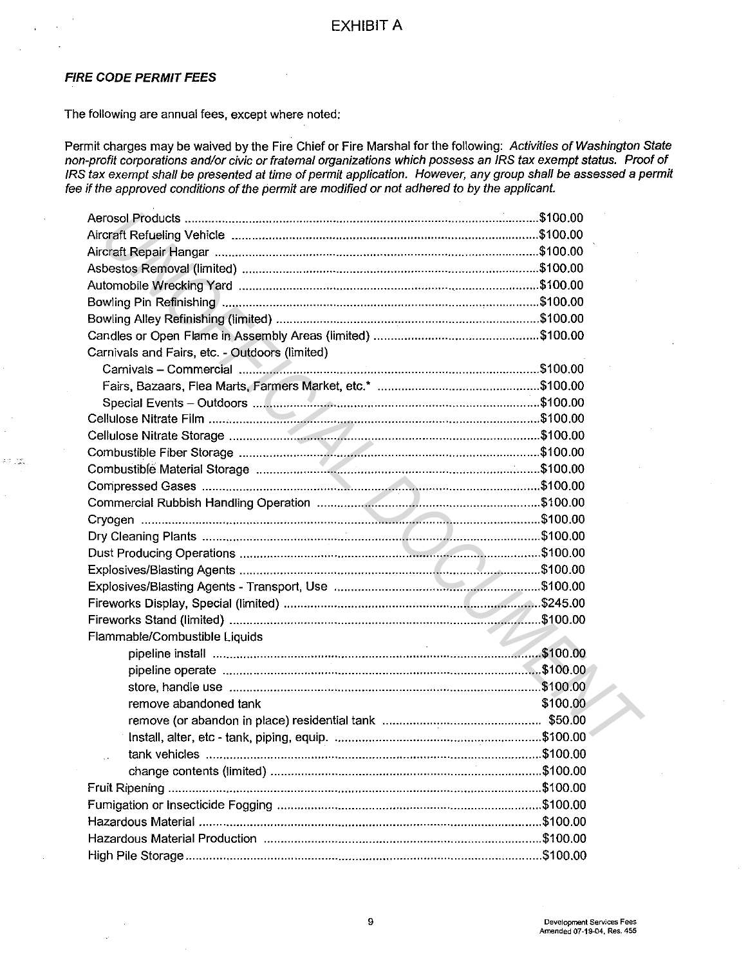#### **FIRE CODE PERMIT FEES**

ad del

The following are annual fees, except where noted:

Permit charges may be waived by the Fire Chief or Fire Marshal for the following: Activities of Washington State non-profit corporations and/or civic or fraternal organizations which possess an IRS tax exempt status. Proof of IRS tax exempt shall be presented at time of permit application. However, any group shall be assessed a permit fee if the approved conditions of the permit are modified or not adhered to by the applicant.

| Carnivals and Fairs, etc. - Outdoors (limited)              |          |  |
|-------------------------------------------------------------|----------|--|
|                                                             |          |  |
|                                                             |          |  |
|                                                             |          |  |
|                                                             |          |  |
|                                                             |          |  |
|                                                             |          |  |
|                                                             |          |  |
|                                                             |          |  |
|                                                             |          |  |
|                                                             |          |  |
|                                                             |          |  |
|                                                             |          |  |
|                                                             |          |  |
|                                                             |          |  |
|                                                             |          |  |
|                                                             |          |  |
| Flammable/Combustible Liquids<br>$\sim 10^{-11}$            |          |  |
|                                                             |          |  |
|                                                             |          |  |
|                                                             |          |  |
| remove abandoned tank                                       | \$100.00 |  |
|                                                             |          |  |
|                                                             |          |  |
| tank vehicles                                               |          |  |
|                                                             |          |  |
|                                                             |          |  |
|                                                             |          |  |
|                                                             |          |  |
| Hazardous Material Production (2000) (2000) (2000) (2100.00 |          |  |
|                                                             |          |  |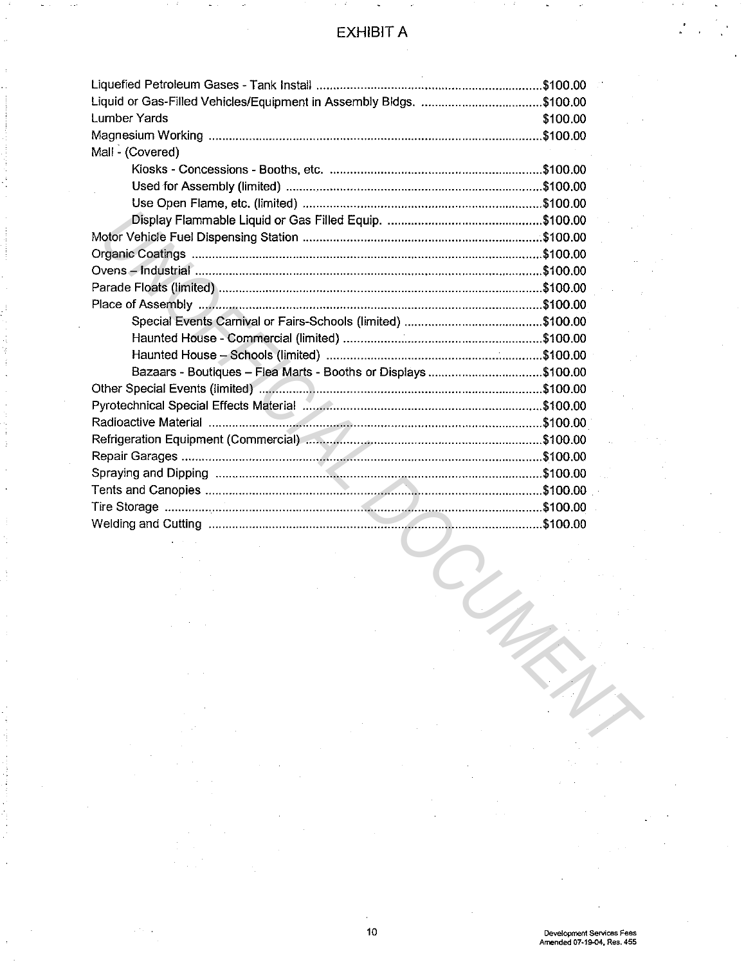| Liquid or Gas-Filled Vehicles/Equipment in Assembly Bldgs. \$100.00 |              |  |
|---------------------------------------------------------------------|--------------|--|
| <b>Lumber Yards</b>                                                 | \$100.00     |  |
|                                                                     | $.$ \$100.00 |  |
| Mall - (Covered)                                                    |              |  |
|                                                                     |              |  |
|                                                                     |              |  |
|                                                                     |              |  |
|                                                                     |              |  |
|                                                                     |              |  |
|                                                                     |              |  |
|                                                                     |              |  |
|                                                                     |              |  |
|                                                                     |              |  |
|                                                                     |              |  |
|                                                                     |              |  |
|                                                                     |              |  |
| Bazaars - Boutiques - Flea Marts - Booths or Displays \$100.00      |              |  |
|                                                                     |              |  |
|                                                                     |              |  |
|                                                                     |              |  |
|                                                                     |              |  |
|                                                                     |              |  |
|                                                                     |              |  |
|                                                                     |              |  |
|                                                                     |              |  |
|                                                                     |              |  |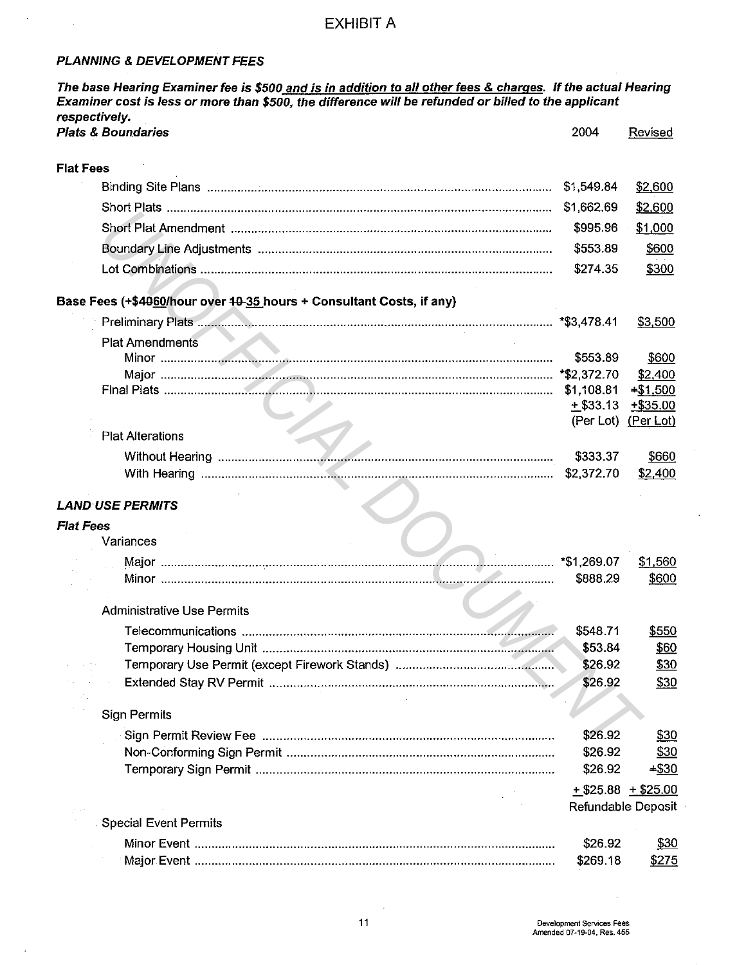### **PLANNING & DEVELOPMENT FEES**

 $\sim$ 

 $\sim$ 

 $\sim 10$ 

| The base Hearing Examiner fee is \$500 and is in addition to all other fees & charges. If the actual Hearing<br>Examiner cost is less or more than \$500, the difference will be refunded or billed to the applicant<br>respectively. |                    |                       |
|---------------------------------------------------------------------------------------------------------------------------------------------------------------------------------------------------------------------------------------|--------------------|-----------------------|
| <b>Plats &amp; Boundaries</b>                                                                                                                                                                                                         | 2004               | <b>Revised</b>        |
| <b>Flat Fees</b>                                                                                                                                                                                                                      |                    |                       |
|                                                                                                                                                                                                                                       | \$1,549.84         | \$2,600               |
|                                                                                                                                                                                                                                       | \$1,662.69         | \$2,600               |
|                                                                                                                                                                                                                                       | \$995.96           | \$1,000               |
|                                                                                                                                                                                                                                       | \$553.89           | \$600                 |
|                                                                                                                                                                                                                                       | \$274.35           | \$300                 |
| Base Fees (+\$4060/hour over 10-35 hours + Consultant Costs, if any)                                                                                                                                                                  |                    |                       |
|                                                                                                                                                                                                                                       |                    | \$3,500               |
| <b>Plat Amendments</b>                                                                                                                                                                                                                |                    |                       |
|                                                                                                                                                                                                                                       | \$553.89           | \$600                 |
|                                                                                                                                                                                                                                       |                    | \$2,400               |
|                                                                                                                                                                                                                                       | \$1,108.81         | $+ $1,500$            |
|                                                                                                                                                                                                                                       | $+$ \$33.13        | $+ $35.00$            |
|                                                                                                                                                                                                                                       |                    | (Per Lot) (Per Lot)   |
| <b>Plat Alterations</b>                                                                                                                                                                                                               |                    |                       |
|                                                                                                                                                                                                                                       | \$333.37           | \$660                 |
|                                                                                                                                                                                                                                       | \$2,372.70         | \$2,400               |
| <b>LAND USE PERMITS</b>                                                                                                                                                                                                               |                    |                       |
| <b>Flat Fees</b>                                                                                                                                                                                                                      |                    |                       |
| Variances                                                                                                                                                                                                                             |                    |                       |
|                                                                                                                                                                                                                                       |                    | \$1,560               |
|                                                                                                                                                                                                                                       | \$888.29           | \$600                 |
| <b>Administrative Use Permits</b>                                                                                                                                                                                                     |                    |                       |
|                                                                                                                                                                                                                                       | \$548.71           | \$550                 |
|                                                                                                                                                                                                                                       | \$53.84            | \$60                  |
|                                                                                                                                                                                                                                       | \$26.92            | \$30                  |
|                                                                                                                                                                                                                                       | \$26.92            | \$30                  |
| <b>Sign Permits</b>                                                                                                                                                                                                                   |                    |                       |
|                                                                                                                                                                                                                                       | \$26.92            | <u>\$30</u>           |
|                                                                                                                                                                                                                                       | \$26.92            | \$30                  |
|                                                                                                                                                                                                                                       | \$26.92            | $+ $30$               |
|                                                                                                                                                                                                                                       |                    | $+$ \$25.88 + \$25.00 |
|                                                                                                                                                                                                                                       | Refundable Deposit |                       |
| <b>Special Event Permits</b>                                                                                                                                                                                                          |                    |                       |
|                                                                                                                                                                                                                                       | \$26.92            | <u>\$30</u>           |
|                                                                                                                                                                                                                                       | \$269.18           | <u>\$275</u>          |

 $\mathcal{L}^{\mathcal{A}}$ 

 $\sim$ 

 $\hat{\mathcal{A}}$ 

 $\sim$ 

 $\hat{\boldsymbol{\gamma}}$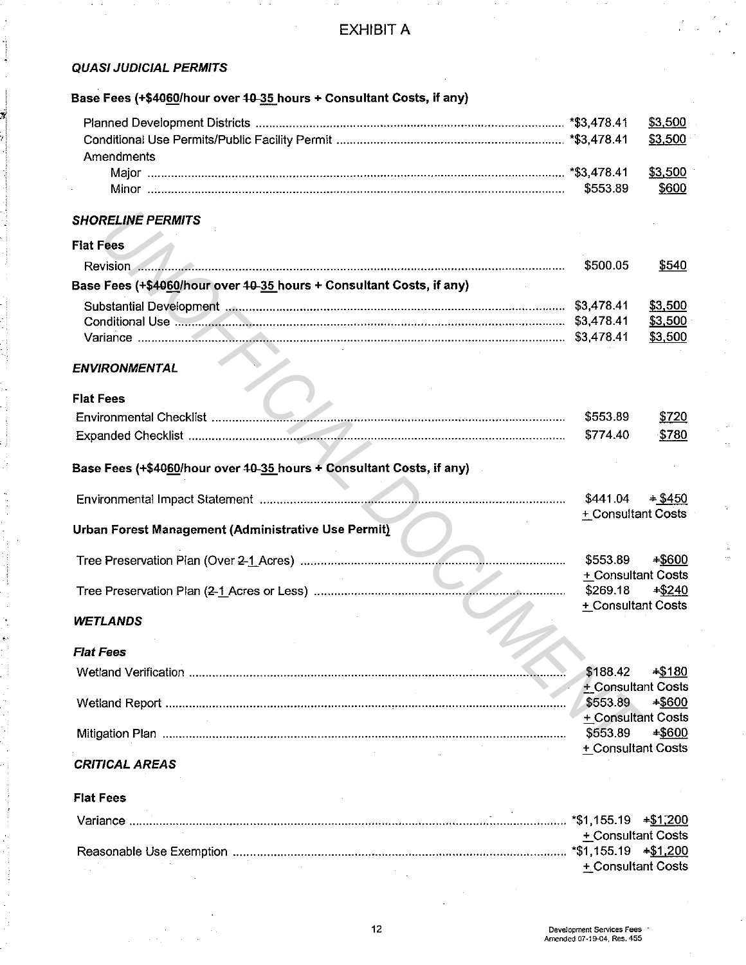### QUASI JUDICIAL PERMITS

## Base Fees (+\$4060/hour over 10-35 hours + Consultant Costs, if any)

| Amendments |              |
|------------|--------------|
|            |              |
|            | <u>\$600</u> |

#### SHORELINE PERMITS

#### Flat Fees

|                                                                      | \$500.05 | \$540   |
|----------------------------------------------------------------------|----------|---------|
| Base Fees (+\$4060/hour over 40-35 hours + Consultant Costs, if any) |          |         |
|                                                                      |          | \$3.500 |
|                                                                      |          | \$3.500 |
|                                                                      |          | \$3,500 |

### ENVIRONMENTAL

#### Flat Fees

|                    | \$553.89 | \$720 |
|--------------------|----------|-------|
| Expanded Checklist | \$774.40 | 780ء  |

## Base Fees (+\$4060/hour over 10-35 hours + Consultant Costs, if any)

| <b>SHORELINE PERMITS</b>                                             |                                                      |                               |
|----------------------------------------------------------------------|------------------------------------------------------|-------------------------------|
| <b>Flat Fees</b>                                                     |                                                      |                               |
|                                                                      | \$500.05                                             | \$540                         |
| Base Fees (+\$4060/hour over 40-35 hours + Consultant Costs, if any) |                                                      |                               |
|                                                                      |                                                      | \$3,500<br>\$3,500<br>\$3,500 |
| <b>ENVIRONMENTAL</b>                                                 |                                                      |                               |
| <b>Flat Fees</b>                                                     | \$553.89<br>\$774.40                                 | \$720<br>\$780                |
| Base Fees (+\$4060/hour over 40-35 hours + Consultant Costs, if any) |                                                      |                               |
|                                                                      | \$441.04<br>+ Consultant Costs                       | $+ $450$                      |
| Urban Forest Management (Administrative Use Permit)                  |                                                      |                               |
|                                                                      | \$553.89                                             | $+ $600$                      |
|                                                                      | + Consultant Costs<br>\$269,18<br>+ Consultant Costs | $*$ \$240                     |
| <b>WETLANDS</b>                                                      |                                                      |                               |
| <b>Flat Fees</b>                                                     |                                                      |                               |
|                                                                      | \$188.42                                             | $* $180$                      |
|                                                                      | + Consultant Costs<br>\$553.89<br>+ Consultant Costs | $*5600$                       |
|                                                                      | \$553.89<br>+ Consultant Costs                       | $-$ \$600                     |

#### WETLANDS

| <b>Flat Fees</b> |                    |           |
|------------------|--------------------|-----------|
|                  | \$188.42           | $+$ \$180 |
|                  | + Consultant Costs |           |
|                  | \$553.89           | -\$600    |
|                  | + Consultant Costs |           |
|                  | \$553.89           | $-$ \$600 |
|                  | + Consultant Costs |           |

## CRITICAL AREAS

#### Flat Fees

| + Consultant Costs         |  |
|----------------------------|--|
| $*$ \$1,155.19 $*$ \$1,200 |  |
| + Consultant Costs         |  |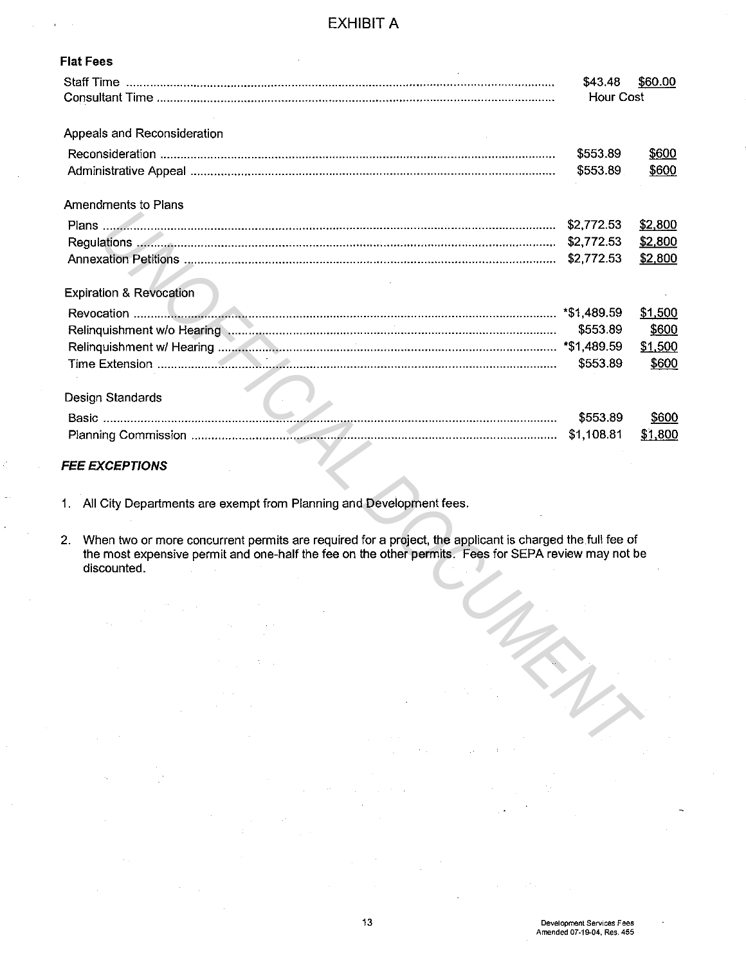| <b>Flat Fees</b>                                                                                                                                                                                                                                                                                                                                                                                                                                                                                                        |                      |         |
|-------------------------------------------------------------------------------------------------------------------------------------------------------------------------------------------------------------------------------------------------------------------------------------------------------------------------------------------------------------------------------------------------------------------------------------------------------------------------------------------------------------------------|----------------------|---------|
|                                                                                                                                                                                                                                                                                                                                                                                                                                                                                                                         | \$43.48<br>Hour Cost | \$60.00 |
| Appeals and Reconsideration                                                                                                                                                                                                                                                                                                                                                                                                                                                                                             |                      |         |
|                                                                                                                                                                                                                                                                                                                                                                                                                                                                                                                         | \$553.89             | \$600   |
|                                                                                                                                                                                                                                                                                                                                                                                                                                                                                                                         | \$553.89             | \$600   |
| Amendments to Plans                                                                                                                                                                                                                                                                                                                                                                                                                                                                                                     |                      |         |
|                                                                                                                                                                                                                                                                                                                                                                                                                                                                                                                         | \$2,772.53           | \$2,800 |
|                                                                                                                                                                                                                                                                                                                                                                                                                                                                                                                         |                      | \$2,800 |
|                                                                                                                                                                                                                                                                                                                                                                                                                                                                                                                         | \$2,772.53           | \$2,800 |
| <b>Expiration &amp; Revocation</b>                                                                                                                                                                                                                                                                                                                                                                                                                                                                                      |                      |         |
|                                                                                                                                                                                                                                                                                                                                                                                                                                                                                                                         |                      | \$1,500 |
|                                                                                                                                                                                                                                                                                                                                                                                                                                                                                                                         | \$553.89             | \$600   |
|                                                                                                                                                                                                                                                                                                                                                                                                                                                                                                                         |                      | \$1,500 |
|                                                                                                                                                                                                                                                                                                                                                                                                                                                                                                                         | \$553.89             | \$600   |
| Design Standards                                                                                                                                                                                                                                                                                                                                                                                                                                                                                                        |                      |         |
|                                                                                                                                                                                                                                                                                                                                                                                                                                                                                                                         | \$553.89             | \$600   |
|                                                                                                                                                                                                                                                                                                                                                                                                                                                                                                                         | \$1,108.81           | \$1,800 |
| <b>FEE EXCEPTIONS</b>                                                                                                                                                                                                                                                                                                                                                                                                                                                                                                   |                      |         |
| 1. All City Departments are exempt from Planning and Development fees.                                                                                                                                                                                                                                                                                                                                                                                                                                                  |                      |         |
| When two or more concurrent permits are required for a project, the applicant is charged the full fee of<br>2.<br>the most expensive permit and one-half the fee on the other permits. Fees for SEPA review may not be<br>discounted.                                                                                                                                                                                                                                                                                   |                      |         |
| $\frac{1}{2} \sum_{i=1}^{2} \frac{1}{2} \sum_{j=1}^{2} \frac{1}{2} \sum_{j=1}^{2} \frac{1}{2} \sum_{j=1}^{2} \frac{1}{2} \sum_{j=1}^{2} \frac{1}{2} \sum_{j=1}^{2} \frac{1}{2} \sum_{j=1}^{2} \frac{1}{2} \sum_{j=1}^{2} \frac{1}{2} \sum_{j=1}^{2} \frac{1}{2} \sum_{j=1}^{2} \frac{1}{2} \sum_{j=1}^{2} \frac{1}{2} \sum_{j=1}^{2} \frac{1}{2} \sum_{j=1}^{2$<br>$\sim 10^{11}$                                                                                                                                       |                      |         |
| $\langle \sigma_{\rm{eff}} \rangle = 10^{-2}$ km s $^{-1}$<br>$\mathcal{L}_{\mathcal{A}}$ and $\mathcal{L}_{\mathcal{A}}$ are the set of the set of the set of $\mathcal{L}_{\mathcal{A}}$                                                                                                                                                                                                                                                                                                                              |                      |         |
| $\label{eq:2.1} \mathcal{L}(\mathcal{F}) = \mathcal{L}(\mathcal{F}) \mathcal{L}(\mathcal{F}) = \mathcal{L}(\mathcal{F}) \mathcal{L}(\mathcal{F})$                                                                                                                                                                                                                                                                                                                                                                       |                      |         |
| $\mathcal{L}^{\mathcal{L}}(\mathcal{A})$ and $\mathcal{L}^{\mathcal{L}}(\mathcal{A})$                                                                                                                                                                                                                                                                                                                                                                                                                                   |                      |         |
| $\mathcal{L}_{\mathcal{A}}$ and $\mathcal{L}_{\mathcal{A}}$ are the set of the set of $\mathcal{L}_{\mathcal{A}}$<br>$\label{eq:2.1} \frac{1}{\sqrt{2\pi}}\int_{\mathbb{R}^3}\frac{1}{\sqrt{2\pi}}\left(\frac{1}{\sqrt{2\pi}}\int_{\mathbb{R}^3}\frac{1}{\sqrt{2\pi}}\int_{\mathbb{R}^3}\frac{1}{\sqrt{2\pi}}\int_{\mathbb{R}^3}\frac{1}{\sqrt{2\pi}}\int_{\mathbb{R}^3}\frac{1}{\sqrt{2\pi}}\int_{\mathbb{R}^3}\frac{1}{\sqrt{2\pi}}\int_{\mathbb{R}^3}\frac{1}{\sqrt{2\pi}}\int_{\mathbb{R}^3}\frac{1}{\sqrt{2\pi}}\$ |                      |         |
| $\mathcal{L}_{\text{max}}$ and $\mathcal{L}_{\text{max}}$ and $\mathcal{L}_{\text{max}}$<br>$\mathcal{A}_\text{c}$ and $\mathcal{B}_\text{c}$ and<br>$\mathcal{L}^{\mathcal{L}}(\mathcal{L}^{\mathcal{L}}(\mathcal{L}^{\mathcal{L}}(\mathcal{L}^{\mathcal{L}}(\mathcal{L}^{\mathcal{L}}(\mathcal{L}^{\mathcal{L}})))$                                                                                                                                                                                                   |                      |         |
|                                                                                                                                                                                                                                                                                                                                                                                                                                                                                                                         |                      |         |

#### **FEE EXCEPTIONS**

ć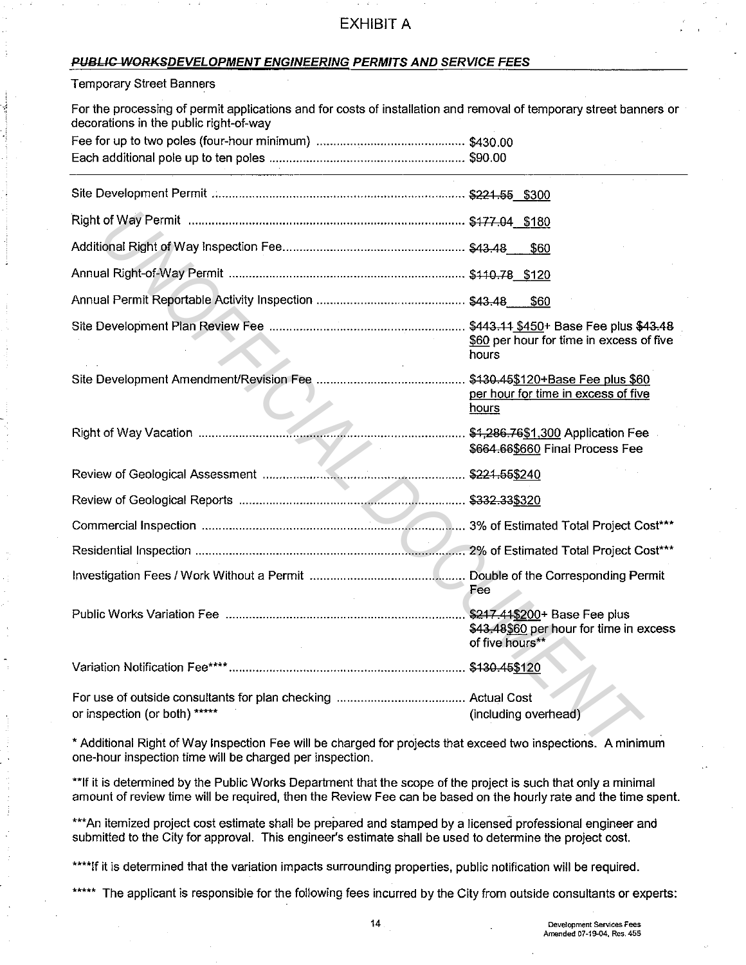#### **PUBLIC WORKSDEVELOPMENT ENGINEERING PERMITS AND SERVICE FEES**

#### Temporary Street Banners

| For the processing of permit applications and for costs of installation and removal of temporary street banners or<br>decorations in the public right-of-way |                                                            |
|--------------------------------------------------------------------------------------------------------------------------------------------------------------|------------------------------------------------------------|
|                                                                                                                                                              |                                                            |
|                                                                                                                                                              |                                                            |
|                                                                                                                                                              |                                                            |
|                                                                                                                                                              |                                                            |
|                                                                                                                                                              | \$60                                                       |
|                                                                                                                                                              |                                                            |
|                                                                                                                                                              | \$60                                                       |
|                                                                                                                                                              | \$60 per hour for time in excess of five<br>hours          |
|                                                                                                                                                              | per hour for time in excess of five<br>hours               |
|                                                                                                                                                              | \$664.66\$660 Final Process Fee                            |
|                                                                                                                                                              |                                                            |
|                                                                                                                                                              |                                                            |
|                                                                                                                                                              |                                                            |
|                                                                                                                                                              |                                                            |
|                                                                                                                                                              | Fee                                                        |
|                                                                                                                                                              | \$43.48\$60 per hour for time in excess<br>of five hours** |
|                                                                                                                                                              |                                                            |
|                                                                                                                                                              |                                                            |
| or inspection (or both) *****                                                                                                                                | (including overhead)                                       |
| * Additional Right of Way Inspection Fee will be charged for projects that exceed two inspections. A minimum                                                 |                                                            |

\*Additional Right of Way Inspection Fee will be charged for projects that exceed two inspections. A minimum one-hour inspection time will be charged per inspection.

\*\*If it is determined by the Public Works Department that the scope of the project is such that only a minimal amount of review time will be required, then the Review Fee can be based on the hourly rate and the time spent.

\*\*\*An itemized project cost estimate shall be prepared and stamped by a licensed professional engineer and submitted to the City for approval. This engineer's estimate shall be used to determine the project cost.

\*\*\*\*If it is determined that the variation impacts surrounding properties, public notification will be required.

\*\*\*\*\* The applicant is responsible for the following fees incurred by the City from outside consultants or experts: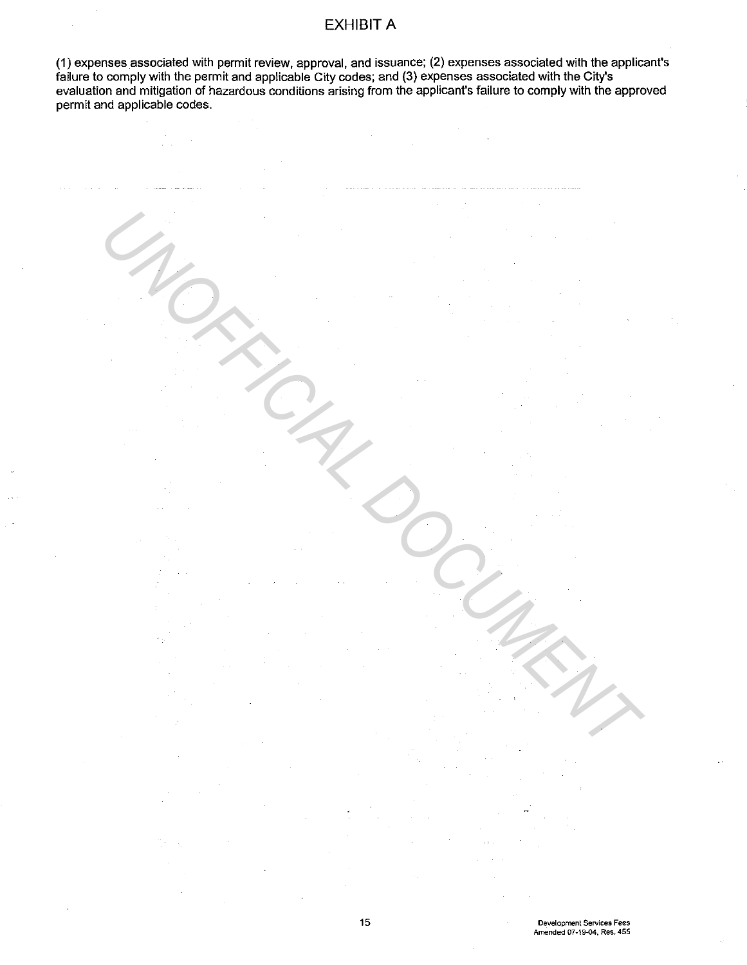(1) expenses associated with permit review, approval, and issuance; (2) expenses associated with the applicant's failure to comply with the permit and applicable City codes; and (3) expenses associated with the City's evaluation and mitigation of hazardous conditions arising from the applicant's failure to comply with the approved permit and applicable codes.

UNOFFICIAL DOCUMENT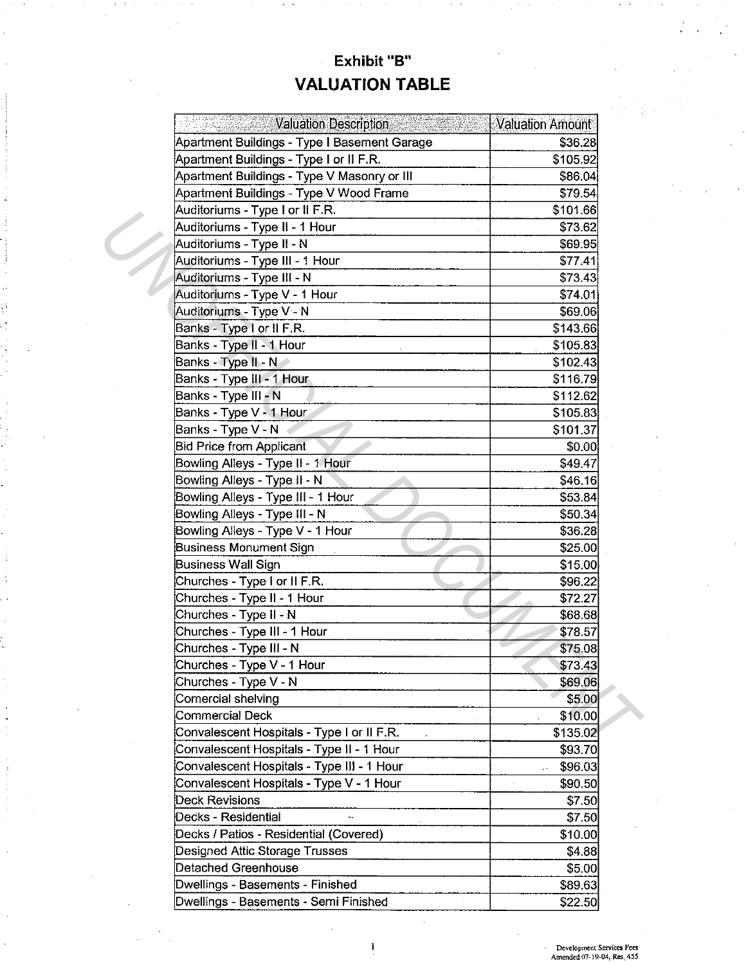# Exhibit "B" **VALUATION TABLE**

| <b>Valuation Description</b>                                        | <b>Valuation Amount</b> |
|---------------------------------------------------------------------|-------------------------|
| Apartment Buildings - Type I Basement Garage                        | \$36.28                 |
| Apartment Buildings - Type I or II F.R.                             | \$105.92                |
| Apartment Buildings - Type V Masonry or III                         | \$86.04                 |
| Apartment Buildings - Type V Wood Frame                             | \$79.54                 |
| Auditoriums - Type I or II F.R.                                     | \$101.66                |
| Auditoriums - Type II - 1 Hour                                      | \$73.62                 |
| Auditoriums - Type II - N                                           | \$69.95                 |
| Auditoriums - Type III - 1 Hour                                     | \$77.41                 |
| Auditoriums - Type III - N                                          | \$73.43                 |
| Auditoriums - Type V - 1 Hour                                       | \$74.01                 |
| Auditoriums - Type V - N                                            | \$69.06                 |
| Banks - Type I or II F.R.                                           | \$143.66                |
| Banks - Type II - 1 Hour                                            | \$105.83                |
| Banks - Type II - N                                                 | \$102.43                |
| Banks - Type III - 1 Hour                                           | \$116.79                |
| Banks - Type III - N                                                | \$112.62                |
| Banks - Type V - 1 Hour                                             | \$105.83                |
| Banks - Type V - N                                                  | \$101.37                |
| <b>Bid Price from Applicant</b>                                     | \$0.00                  |
| Bowling Alleys - Type II - 1 Hour                                   | \$49.47                 |
| Bowling Alleys - Type II - N                                        | \$46.16                 |
|                                                                     |                         |
| Bowling Alleys - Type III - 1 Hour<br>Bowling Alleys - Type III - N | \$53.84                 |
|                                                                     | \$50.34                 |
| Bowling Alleys - Type V - 1 Hour                                    | \$36.28                 |
| <b>Business Monument Sign</b>                                       | \$25.00                 |
| Business Wall Sign                                                  | \$15.00                 |
| Churches - Type I or II F.R.                                        | \$96.22                 |
| Churches - Type II - 1 Hour                                         | \$72.27                 |
| Churches - Type II - N                                              | \$68.68                 |
| Churches - Type III - 1 Hour                                        | \$78.57                 |
| Churches - Type III - N                                             | \$75.08                 |
| Churches - Type V - 1 Hour                                          | \$73.43                 |
| Churches - Type V - N                                               | \$69.06                 |
| Comercial shelving                                                  | \$5.00                  |
| Commercial Deck                                                     | \$10.00                 |
| Convalescent Hospitals - Type I or II F.R.                          | \$135.02                |
| Convalescent Hospitals - Type II - 1 Hour                           | \$93.70                 |
| Convalescent Hospitals - Type III - 1 Hour                          | \$96.03                 |
| Convalescent Hospitals - Type V - 1 Hour                            | \$90.50                 |
| Deck Revisions                                                      | \$7.50                  |
| Decks - Residential                                                 | \$7.50                  |
| Decks / Patios - Residential (Covered)                              | \$10.00                 |
| Designed Attic Storage Trusses                                      | \$4.88                  |
| Detached Greenhouse                                                 | \$5.00                  |
| Dwellings - Basements - Finished                                    | \$89.63                 |
| Dwellings - Basements - Semi Finished                               | \$22.50                 |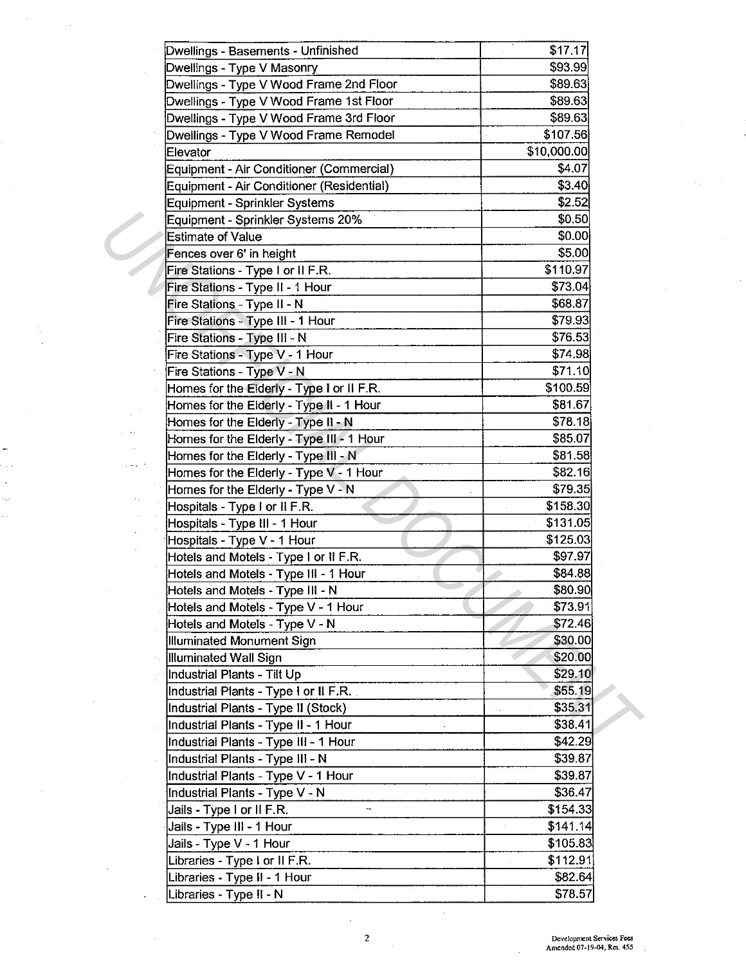| Dwellings - Basements - Unfinished        | \$17.17     |  |
|-------------------------------------------|-------------|--|
| Dwellings - Type V Masonry                | \$93.99     |  |
| Dwellings - Type V Wood Frame 2nd Floor   | \$89.63     |  |
| Dwellings - Type V Wood Frame 1st Floor   | \$89.63     |  |
| Dwellings - Type V Wood Frame 3rd Floor   | \$89.63     |  |
| Dwellings - Type V Wood Frame Remodel     | \$107.56    |  |
| Elevator                                  | \$10,000.00 |  |
| Equipment - Air Conditioner (Commercial)  | \$4.07      |  |
| Equipment - Air Conditioner (Residential) | \$3.40      |  |
| <b>Equipment - Sprinkler Systems</b>      | \$2.52      |  |
| Equipment - Sprinkler Systems 20%         | \$0.50      |  |
| <b>Estimate of Value</b>                  | \$0.00      |  |
| Fences over 6' in height                  | \$5.00      |  |
| Fire Stations - Type I or II F.R.         | \$110.97    |  |
| Fire Stations - Type II - 1 Hour          | \$73.04     |  |
| Fire Stations - Type II - N               | \$68.87     |  |
| Fire Stations - Type III - 1 Hour         | \$79.93     |  |
| Fire Stations - Type III - N              | \$76.53     |  |
| Fire Stations - Type V - 1 Hour           | \$74.98     |  |
| Fire Stations - Type V - N                | \$71.10     |  |
| Homes for the Elderly - Type I or II F.R. | \$100.59    |  |
| Homes for the Elderly - Type II - 1 Hour  | \$81.67     |  |
| Homes for the Elderly - Type II - N       | \$78.18     |  |
| Homes for the Elderly - Type III - 1 Hour | \$85.07     |  |
| Homes for the Elderly - Type III - N      | \$81.58     |  |
| Homes for the Elderly - Type V - 1 Hour   | \$82.16]    |  |
| Homes for the Elderly - Type V - N        | \$79.35     |  |
| Hospitals - Type I or II F.R.             | \$158.30    |  |
| Hospitals - Type III - 1 Hour             | \$131.05    |  |
| Hospitals - Type V - 1 Hour               | \$125.03    |  |
| Hotels and Motels - Type I or II F.R.     | \$97.97     |  |
| Hotels and Motels - Type III - 1 Hour     | \$84.88     |  |
| Hotels and Motels - Type III - N          | \$80.90     |  |
| Hotels and Motels - Type V - 1 Hour       | \$73.91     |  |
| Hotels and Motels - Type V - N            | \$72.46     |  |
| Illuminated Monument Sign                 | \$30.00     |  |
| Illuminated Wall Sign                     | \$20.00     |  |
| Industrial Plants - Tilt Up               | \$29.10     |  |
| Industrial Plants - Type I or II F.R.     | \$55.19     |  |
| Industrial Plants - Type II (Stock)       | \$35.31     |  |
| Industrial Plants - Type II - 1 Hour      | \$38.41     |  |
| Industrial Plants - Type III - 1 Hour     | \$42.29     |  |
| Industrial Plants - Type III - N          | \$39.87     |  |
| Industrial Plants - Type V - 1 Hour       | \$39.87     |  |
| Industrial Plants - Type V - N            | \$36.47     |  |
| Jails - Type I or II F.R.                 | \$154.33    |  |
| Jails - Type III - 1 Hour                 | \$141.14    |  |
| Jails - Type V - 1 Hour                   | \$105.83    |  |
| Libraries - Type I or II F.R.             | \$112.91    |  |
| Libraries - Type II - 1 Hour              | \$82.64     |  |
| Libraries - Type II - N                   | \$78.57     |  |

 $\sim$ 

36

 $\bar{z}$ ÷, j.

÷,

l.

 $\overline{a}$ 

 $\mathcal{L}^{\text{max}}$ 

 $\mathcal{A}^{\mathcal{A}}$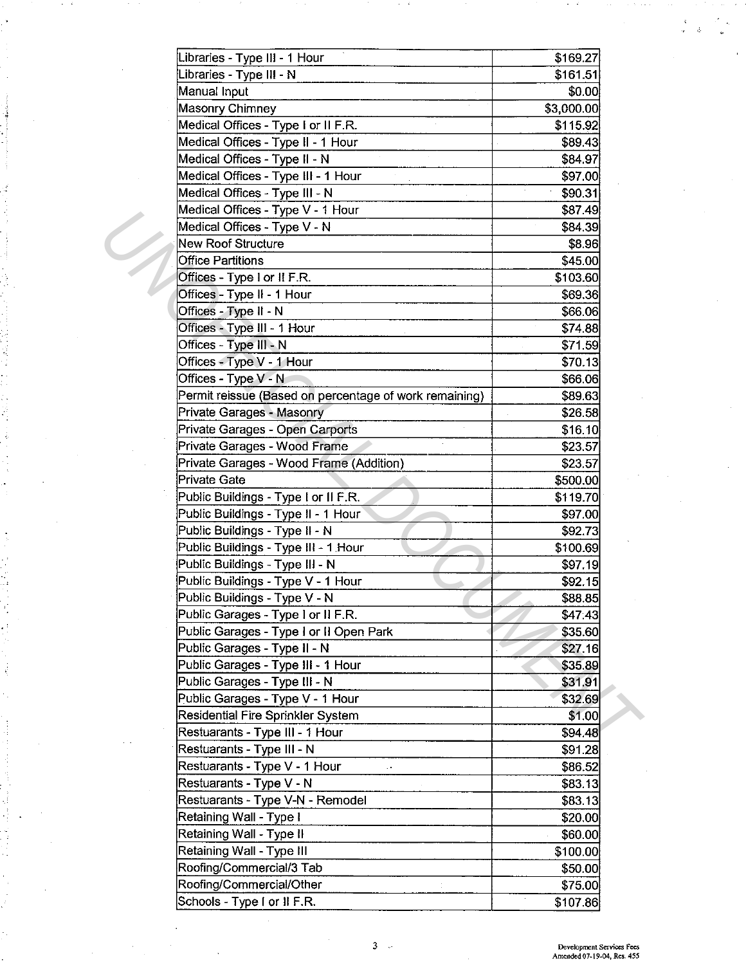| Libraries - Type III - 1 Hour                          | \$169.27   |  |
|--------------------------------------------------------|------------|--|
| Libraries - Type III - N                               | \$161.51   |  |
| Manual Input                                           | \$0.00     |  |
| Masonry Chimney                                        | \$3,000.00 |  |
| Medical Offices - Type I or II F.R.                    | \$115.92   |  |
| Medical Offices - Type II - 1 Hour                     | \$89.43    |  |
| Medical Offices - Type II - N                          | \$84.97    |  |
| Medical Offices - Type III - 1 Hour                    | \$97.00    |  |
| Medical Offices - Type III - N                         | \$90.31    |  |
| Medical Offices - Type V - 1 Hour                      | \$87.49    |  |
| Medical Offices - Type V - N                           | \$84.39    |  |
| <b>New Roof Structure</b>                              | \$8.96     |  |
| <b>Office Partitions</b>                               | \$45.00    |  |
| Offices - Type I or II F.R.                            | \$103.60   |  |
| Offices - Type II - 1 Hour                             | \$69.36    |  |
| Offices - Type II - N                                  | \$66.06    |  |
| Offices - Type III - 1 Hour                            | \$74.88    |  |
| Offices - Type III - N                                 | \$71.59    |  |
| Offices - Type V - 1 Hour                              | \$70.13    |  |
| Offices - Type V - N                                   | \$66.06    |  |
| Permit reissue (Based on percentage of work remaining) | \$89.63    |  |
| Private Garages - Masonry                              | \$26.58    |  |
| Private Garages - Open Carports                        | \$16.10    |  |
| Private Garages - Wood Frame                           | \$23.57    |  |
| Private Garages - Wood Frame (Addition)                | \$23.57    |  |
| Private Gate                                           | \$500.00   |  |
| Public Buildings - Type I or II F.R.                   | \$119.70   |  |
| Public Buildings - Type II - 1 Hour                    | \$97.00    |  |
| Public Buildings - Type II - N                         | \$92.73    |  |
| Public Buildings - Type III - 1 Hour                   | \$100.69   |  |
| Public Buildings - Type III - N                        | \$97.19    |  |
| Public Buildings - Type V - 1 Hour                     | \$92.15    |  |
| Public Buildings - Type V - N                          | \$88.85    |  |
| Public Garages - Type I or II F.R.                     | \$47.43    |  |
| Public Garages - Type I or II Open Park                | \$35.60    |  |
| Public Garages - Type II - N                           | \$27.16    |  |
| Public Garages - Type III - 1 Hour                     | \$35.89    |  |
| Public Garages - Type III - N                          | \$31.91    |  |
| Public Garages - Type V - 1 Hour                       | \$32.69    |  |
| Residential Fire Sprinkler System                      | \$1.00     |  |
| Restuarants - Type III - 1 Hour                        | \$94.48    |  |
| Restuarants - Type III - N                             | \$91.28    |  |
| Restuarants - Type V - 1 Hour                          | \$86.52    |  |
| Restuarants - Type V - N                               | \$83.13    |  |
| Restuarants - Type V-N - Remodel                       | \$83.13    |  |
| Retaining Wall - Type I                                | \$20.00    |  |
| Retaining Wall - Type II                               | \$60.00    |  |
| Retaining Wall - Type III                              | \$100.00   |  |
| Roofing/Commercial/3 Tab                               | \$50.00    |  |
| Roofing/Commercial/Other                               | \$75.00    |  |
| Schools - Type I or II F.R.                            | \$107.86   |  |

 $\hat{\mathbf{v}}$